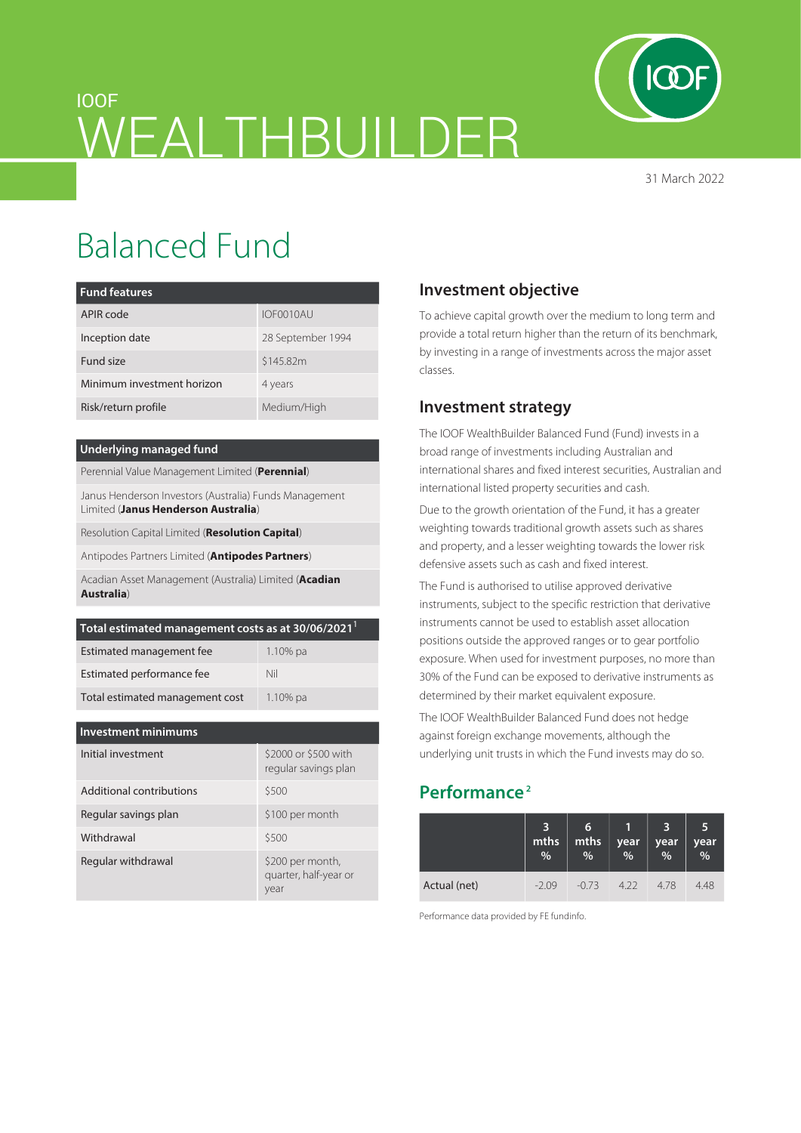

31 March 2022

# IOOF WEALTHBUILDER

# Balanced Fund

| <b>Fund features</b>       |                   |  |  |  |  |
|----------------------------|-------------------|--|--|--|--|
| APIR code                  | IOF0010AU         |  |  |  |  |
| Inception date             | 28 September 1994 |  |  |  |  |
| Fund size                  | \$145.82m         |  |  |  |  |
| Minimum investment horizon | 4 years           |  |  |  |  |
| Risk/return profile        | Medium/High       |  |  |  |  |

#### **Underlying managed fund**

Perennial Value Management Limited (**Perennial**)

Janus Henderson Investors (Australia) Funds Management Limited (**Janus Henderson Australia**)

Resolution Capital Limited (**Resolution Capital**)

Antipodes Partners Limited (**Antipodes Partners**)

Acadian Asset Management (Australia) Limited (**Acadian Australia**)

| Total estimated management costs as at 30/06/2021 <sup>1</sup> |             |  |  |  |
|----------------------------------------------------------------|-------------|--|--|--|
| Estimated management fee                                       | $1.10\%$ pa |  |  |  |
| Estimated performance fee                                      | Nil         |  |  |  |
| Total estimated management cost                                | $1.10\%$ pa |  |  |  |

| <b>Investment minimums</b> |                                                   |  |  |  |  |  |
|----------------------------|---------------------------------------------------|--|--|--|--|--|
| Initial investment         | \$2000 or \$500 with<br>regular savings plan      |  |  |  |  |  |
| Additional contributions   | \$500                                             |  |  |  |  |  |
| Regular savings plan       | \$100 per month                                   |  |  |  |  |  |
| Withdrawal                 | \$500                                             |  |  |  |  |  |
| Regular withdrawal         | \$200 per month,<br>quarter, half-year or<br>year |  |  |  |  |  |

## **Investment objective**

To achieve capital growth over the medium to long term and provide a total return higher than the return of its benchmark, by investing in a range of investments across the major asset classes.

### **Investment strategy**

The IOOF WealthBuilder Balanced Fund (Fund) invests in a broad range of investments including Australian and international shares and fixed interest securities, Australian and international listed property securities and cash.

Due to the growth orientation of the Fund, it has a greater weighting towards traditional growth assets such as shares and property, and a lesser weighting towards the lower risk defensive assets such as cash and fixed interest.

The Fund is authorised to utilise approved derivative instruments, subject to the specific restriction that derivative instruments cannot be used to establish asset allocation positions outside the approved ranges or to gear portfolio exposure. When used for investment purposes, no more than 30% of the Fund can be exposed to derivative instruments as determined by their market equivalent exposure.

The IOOF WealthBuilder Balanced Fund does not hedge against foreign exchange movements, although the underlying unit trusts in which the Fund invests may do so.

# **Performance 2**

|              | 3<br>mths<br>% | 6<br>mths<br>% | year<br>$\%$ | year<br>$\frac{0}{0}$ | 5<br>year<br>% |
|--------------|----------------|----------------|--------------|-----------------------|----------------|
| Actual (net) | $-2.09$        | $-0.73$        | 4.22         | 478                   | 4.48           |

Performance data provided by FE fundinfo.